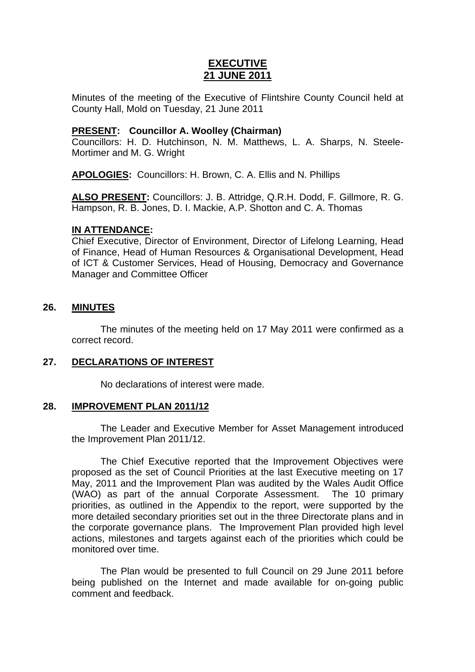# **EXECUTIVE 21 JUNE 2011**

Minutes of the meeting of the Executive of Flintshire County Council held at County Hall, Mold on Tuesday, 21 June 2011

# **PRESENT: Councillor A. Woolley (Chairman)**

Councillors: H. D. Hutchinson, N. M. Matthews, L. A. Sharps, N. Steele-Mortimer and M. G. Wright

**APOLOGIES:** Councillors: H. Brown, C. A. Ellis and N. Phillips

**ALSO PRESENT:** Councillors: J. B. Attridge, Q.R.H. Dodd, F. Gillmore, R. G. Hampson, R. B. Jones, D. I. Mackie, A.P. Shotton and C. A. Thomas

### **IN ATTENDANCE:**

Chief Executive, Director of Environment, Director of Lifelong Learning, Head of Finance, Head of Human Resources & Organisational Development, Head of ICT & Customer Services, Head of Housing, Democracy and Governance Manager and Committee Officer

### **26. MINUTES**

The minutes of the meeting held on 17 May 2011 were confirmed as a correct record.

# **27. DECLARATIONS OF INTEREST**

No declarations of interest were made.

### **28. IMPROVEMENT PLAN 2011/12**

The Leader and Executive Member for Asset Management introduced the Improvement Plan 2011/12.

The Chief Executive reported that the Improvement Objectives were proposed as the set of Council Priorities at the last Executive meeting on 17 May, 2011 and the Improvement Plan was audited by the Wales Audit Office (WAO) as part of the annual Corporate Assessment. The 10 primary priorities, as outlined in the Appendix to the report, were supported by the more detailed secondary priorities set out in the three Directorate plans and in the corporate governance plans. The Improvement Plan provided high level actions, milestones and targets against each of the priorities which could be monitored over time.

The Plan would be presented to full Council on 29 June 2011 before being published on the Internet and made available for on-going public comment and feedback.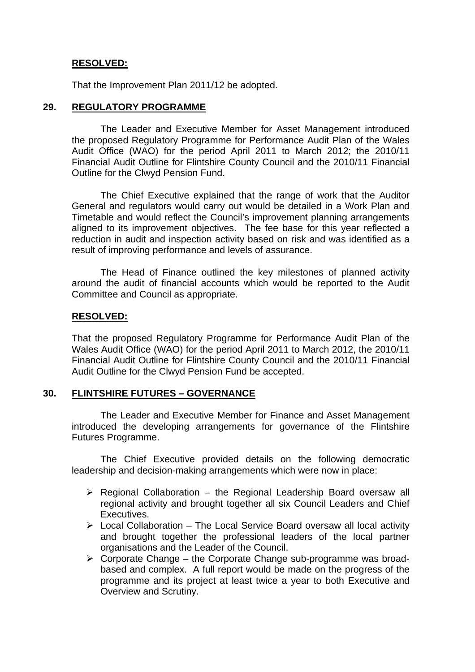# **RESOLVED:**

That the Improvement Plan 2011/12 be adopted.

## **29. REGULATORY PROGRAMME**

 The Leader and Executive Member for Asset Management introduced the proposed Regulatory Programme for Performance Audit Plan of the Wales Audit Office (WAO) for the period April 2011 to March 2012; the 2010/11 Financial Audit Outline for Flintshire County Council and the 2010/11 Financial Outline for the Clwyd Pension Fund.

 The Chief Executive explained that the range of work that the Auditor General and regulators would carry out would be detailed in a Work Plan and Timetable and would reflect the Council's improvement planning arrangements aligned to its improvement objectives. The fee base for this year reflected a reduction in audit and inspection activity based on risk and was identified as a result of improving performance and levels of assurance.

The Head of Finance outlined the key milestones of planned activity around the audit of financial accounts which would be reported to the Audit Committee and Council as appropriate.

### **RESOLVED:**

That the proposed Regulatory Programme for Performance Audit Plan of the Wales Audit Office (WAO) for the period April 2011 to March 2012, the 2010/11 Financial Audit Outline for Flintshire County Council and the 2010/11 Financial Audit Outline for the Clwyd Pension Fund be accepted.

### **30. FLINTSHIRE FUTURES – GOVERNANCE**

 The Leader and Executive Member for Finance and Asset Management introduced the developing arrangements for governance of the Flintshire Futures Programme.

 The Chief Executive provided details on the following democratic leadership and decision-making arrangements which were now in place:

- $\triangleright$  Regional Collaboration the Regional Leadership Board oversaw all regional activity and brought together all six Council Leaders and Chief Executives.
- $\triangleright$  Local Collaboration The Local Service Board oversaw all local activity and brought together the professional leaders of the local partner organisations and the Leader of the Council.
- $\triangleright$  Corporate Change the Corporate Change sub-programme was broadbased and complex. A full report would be made on the progress of the programme and its project at least twice a year to both Executive and Overview and Scrutiny.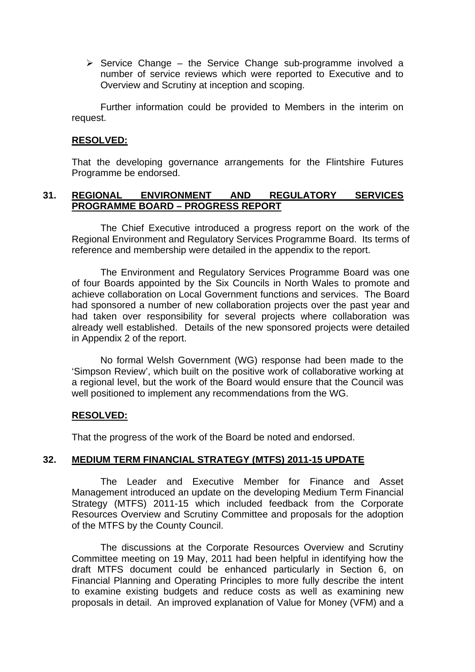$\triangleright$  Service Change – the Service Change sub-programme involved a number of service reviews which were reported to Executive and to Overview and Scrutiny at inception and scoping.

Further information could be provided to Members in the interim on request.

### **RESOLVED:**

That the developing governance arrangements for the Flintshire Futures Programme be endorsed.

## **31. REGIONAL ENVIRONMENT AND REGULATORY SERVICES PROGRAMME BOARD – PROGRESS REPORT**

 The Chief Executive introduced a progress report on the work of the Regional Environment and Regulatory Services Programme Board. Its terms of reference and membership were detailed in the appendix to the report.

 The Environment and Regulatory Services Programme Board was one of four Boards appointed by the Six Councils in North Wales to promote and achieve collaboration on Local Government functions and services. The Board had sponsored a number of new collaboration projects over the past year and had taken over responsibility for several projects where collaboration was already well established. Details of the new sponsored projects were detailed in Appendix 2 of the report.

 No formal Welsh Government (WG) response had been made to the 'Simpson Review', which built on the positive work of collaborative working at a regional level, but the work of the Board would ensure that the Council was well positioned to implement any recommendations from the WG.

# **RESOLVED:**

That the progress of the work of the Board be noted and endorsed.

### **32. MEDIUM TERM FINANCIAL STRATEGY (MTFS) 2011-15 UPDATE**

 The Leader and Executive Member for Finance and Asset Management introduced an update on the developing Medium Term Financial Strategy (MTFS) 2011-15 which included feedback from the Corporate Resources Overview and Scrutiny Committee and proposals for the adoption of the MTFS by the County Council.

 The discussions at the Corporate Resources Overview and Scrutiny Committee meeting on 19 May, 2011 had been helpful in identifying how the draft MTFS document could be enhanced particularly in Section 6, on Financial Planning and Operating Principles to more fully describe the intent to examine existing budgets and reduce costs as well as examining new proposals in detail. An improved explanation of Value for Money (VFM) and a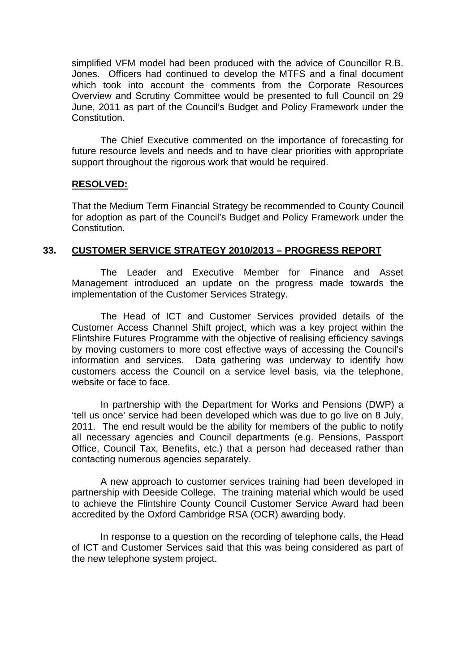simplified VFM model had been produced with the advice of Councillor R.B. Jones. Officers had continued to develop the MTFS and a final document which took into account the comments from the Corporate Resources Overview and Scrutiny Committee would be presented to full Council on 29 June, 2011 as part of the Council's Budget and Policy Framework under the Constitution.

The Chief Executive commented on the importance of forecasting for future resource levels and needs and to have clear priorities with appropriate support throughout the rigorous work that would be required.

### **RESOLVED:**

That the Medium Term Financial Strategy be recommended to County Council for adoption as part of the Council's Budget and Policy Framework under the Constitution.

# **33. CUSTOMER SERVICE STRATEGY 2010/2013 – PROGRESS REPORT**

 The Leader and Executive Member for Finance and Asset Management introduced an update on the progress made towards the implementation of the Customer Services Strategy.

 The Head of ICT and Customer Services provided details of the Customer Access Channel Shift project, which was a key project within the Flintshire Futures Programme with the objective of realising efficiency savings by moving customers to more cost effective ways of accessing the Council's information and services. Data gathering was underway to identify how customers access the Council on a service level basis, via the telephone, website or face to face.

 In partnership with the Department for Works and Pensions (DWP) a 'tell us once' service had been developed which was due to go live on 8 July, 2011. The end result would be the ability for members of the public to notify all necessary agencies and Council departments (e.g. Pensions, Passport Office, Council Tax, Benefits, etc.) that a person had deceased rather than contacting numerous agencies separately.

 A new approach to customer services training had been developed in partnership with Deeside College. The training material which would be used to achieve the Flintshire County Council Customer Service Award had been accredited by the Oxford Cambridge RSA (OCR) awarding body.

 In response to a question on the recording of telephone calls, the Head of ICT and Customer Services said that this was being considered as part of the new telephone system project.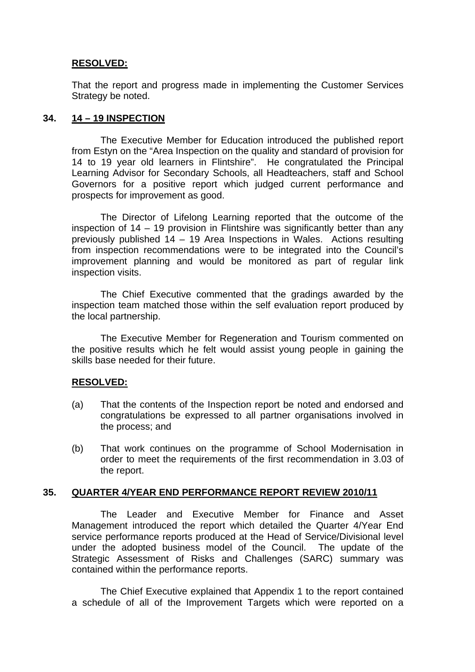# **RESOLVED:**

That the report and progress made in implementing the Customer Services Strategy be noted.

# **34. 14 – 19 INSPECTION**

 The Executive Member for Education introduced the published report from Estyn on the "Area Inspection on the quality and standard of provision for 14 to 19 year old learners in Flintshire". He congratulated the Principal Learning Advisor for Secondary Schools, all Headteachers, staff and School Governors for a positive report which judged current performance and prospects for improvement as good.

 The Director of Lifelong Learning reported that the outcome of the inspection of 14 – 19 provision in Flintshire was significantly better than any previously published 14 – 19 Area Inspections in Wales. Actions resulting from inspection recommendations were to be integrated into the Council's improvement planning and would be monitored as part of regular link inspection visits.

The Chief Executive commented that the gradings awarded by the inspection team matched those within the self evaluation report produced by the local partnership.

 The Executive Member for Regeneration and Tourism commented on the positive results which he felt would assist young people in gaining the skills base needed for their future.

### **RESOLVED:**

- (a) That the contents of the Inspection report be noted and endorsed and congratulations be expressed to all partner organisations involved in the process; and
- (b) That work continues on the programme of School Modernisation in order to meet the requirements of the first recommendation in 3.03 of the report.

# **35. QUARTER 4/YEAR END PERFORMANCE REPORT REVIEW 2010/11**

 The Leader and Executive Member for Finance and Asset Management introduced the report which detailed the Quarter 4/Year End service performance reports produced at the Head of Service/Divisional level under the adopted business model of the Council. The update of the Strategic Assessment of Risks and Challenges (SARC) summary was contained within the performance reports.

The Chief Executive explained that Appendix 1 to the report contained a schedule of all of the Improvement Targets which were reported on a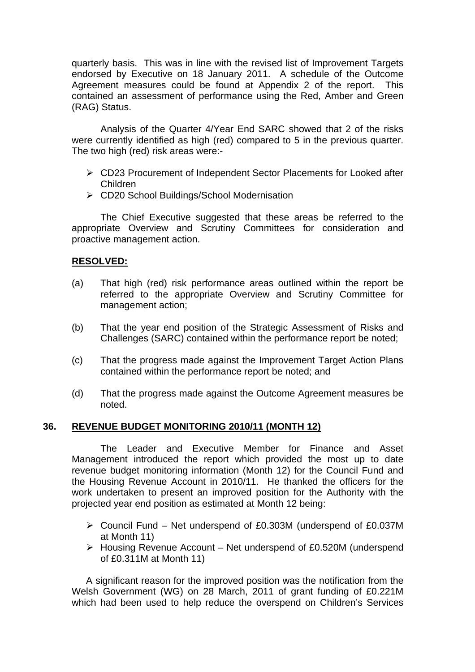quarterly basis. This was in line with the revised list of Improvement Targets endorsed by Executive on 18 January 2011. A schedule of the Outcome Agreement measures could be found at Appendix 2 of the report. This contained an assessment of performance using the Red, Amber and Green (RAG) Status.

Analysis of the Quarter 4/Year End SARC showed that 2 of the risks were currently identified as high (red) compared to 5 in the previous quarter. The two high (red) risk areas were:-

- CD23 Procurement of Independent Sector Placements for Looked after Children
- CD20 School Buildings/School Modernisation

The Chief Executive suggested that these areas be referred to the appropriate Overview and Scrutiny Committees for consideration and proactive management action.

# **RESOLVED:**

- (a) That high (red) risk performance areas outlined within the report be referred to the appropriate Overview and Scrutiny Committee for management action;
- (b) That the year end position of the Strategic Assessment of Risks and Challenges (SARC) contained within the performance report be noted;
- (c) That the progress made against the Improvement Target Action Plans contained within the performance report be noted; and
- (d) That the progress made against the Outcome Agreement measures be noted.

# **36. REVENUE BUDGET MONITORING 2010/11 (MONTH 12)**

 The Leader and Executive Member for Finance and Asset Management introduced the report which provided the most up to date revenue budget monitoring information (Month 12) for the Council Fund and the Housing Revenue Account in 2010/11. He thanked the officers for the work undertaken to present an improved position for the Authority with the projected year end position as estimated at Month 12 being:

- Council Fund Net underspend of £0.303M (underspend of £0.037M at Month 11)
- $\triangleright$  Housing Revenue Account Net underspend of £0.520M (underspend of £0.311M at Month 11)

A significant reason for the improved position was the notification from the Welsh Government (WG) on 28 March, 2011 of grant funding of £0.221M which had been used to help reduce the overspend on Children's Services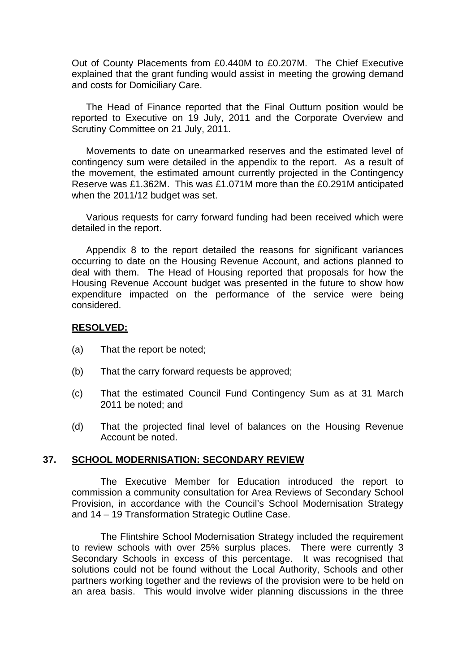Out of County Placements from £0.440M to £0.207M. The Chief Executive explained that the grant funding would assist in meeting the growing demand and costs for Domiciliary Care.

The Head of Finance reported that the Final Outturn position would be reported to Executive on 19 July, 2011 and the Corporate Overview and Scrutiny Committee on 21 July, 2011.

Movements to date on unearmarked reserves and the estimated level of contingency sum were detailed in the appendix to the report. As a result of the movement, the estimated amount currently projected in the Contingency Reserve was £1.362M. This was £1.071M more than the £0.291M anticipated when the 2011/12 budget was set.

Various requests for carry forward funding had been received which were detailed in the report.

Appendix 8 to the report detailed the reasons for significant variances occurring to date on the Housing Revenue Account, and actions planned to deal with them. The Head of Housing reported that proposals for how the Housing Revenue Account budget was presented in the future to show how expenditure impacted on the performance of the service were being considered.

#### **RESOLVED:**

- (a) That the report be noted;
- (b) That the carry forward requests be approved;
- (c) That the estimated Council Fund Contingency Sum as at 31 March 2011 be noted; and
- (d) That the projected final level of balances on the Housing Revenue Account be noted.

#### **37. SCHOOL MODERNISATION: SECONDARY REVIEW**

 The Executive Member for Education introduced the report to commission a community consultation for Area Reviews of Secondary School Provision, in accordance with the Council's School Modernisation Strategy and 14 – 19 Transformation Strategic Outline Case.

 The Flintshire School Modernisation Strategy included the requirement to review schools with over 25% surplus places. There were currently 3 Secondary Schools in excess of this percentage. It was recognised that solutions could not be found without the Local Authority, Schools and other partners working together and the reviews of the provision were to be held on an area basis. This would involve wider planning discussions in the three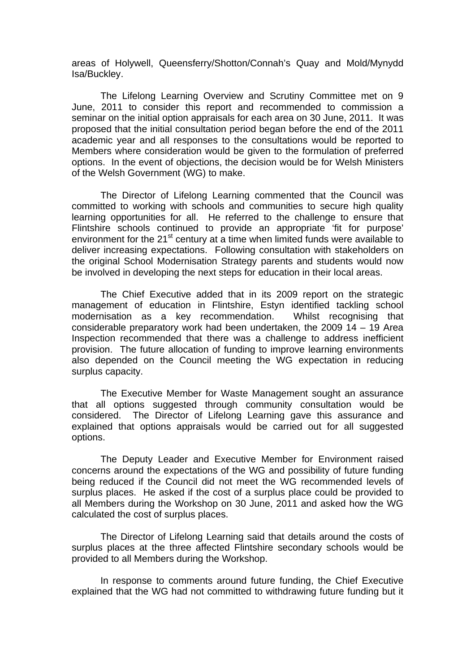areas of Holywell, Queensferry/Shotton/Connah's Quay and Mold/Mynydd Isa/Buckley.

 The Lifelong Learning Overview and Scrutiny Committee met on 9 June, 2011 to consider this report and recommended to commission a seminar on the initial option appraisals for each area on 30 June, 2011. It was proposed that the initial consultation period began before the end of the 2011 academic year and all responses to the consultations would be reported to Members where consideration would be given to the formulation of preferred options. In the event of objections, the decision would be for Welsh Ministers of the Welsh Government (WG) to make.

 The Director of Lifelong Learning commented that the Council was committed to working with schools and communities to secure high quality learning opportunities for all. He referred to the challenge to ensure that Flintshire schools continued to provide an appropriate 'fit for purpose' environment for the 21<sup>st</sup> century at a time when limited funds were available to deliver increasing expectations. Following consultation with stakeholders on the original School Modernisation Strategy parents and students would now be involved in developing the next steps for education in their local areas.

 The Chief Executive added that in its 2009 report on the strategic management of education in Flintshire, Estyn identified tackling school modernisation as a key recommendation. Whilst recognising that considerable preparatory work had been undertaken, the 2009  $14 - 19$  Area Inspection recommended that there was a challenge to address inefficient provision. The future allocation of funding to improve learning environments also depended on the Council meeting the WG expectation in reducing surplus capacity.

 The Executive Member for Waste Management sought an assurance that all options suggested through community consultation would be considered. The Director of Lifelong Learning gave this assurance and explained that options appraisals would be carried out for all suggested options.

The Deputy Leader and Executive Member for Environment raised concerns around the expectations of the WG and possibility of future funding being reduced if the Council did not meet the WG recommended levels of surplus places. He asked if the cost of a surplus place could be provided to all Members during the Workshop on 30 June, 2011 and asked how the WG calculated the cost of surplus places.

 The Director of Lifelong Learning said that details around the costs of surplus places at the three affected Flintshire secondary schools would be provided to all Members during the Workshop.

In response to comments around future funding, the Chief Executive explained that the WG had not committed to withdrawing future funding but it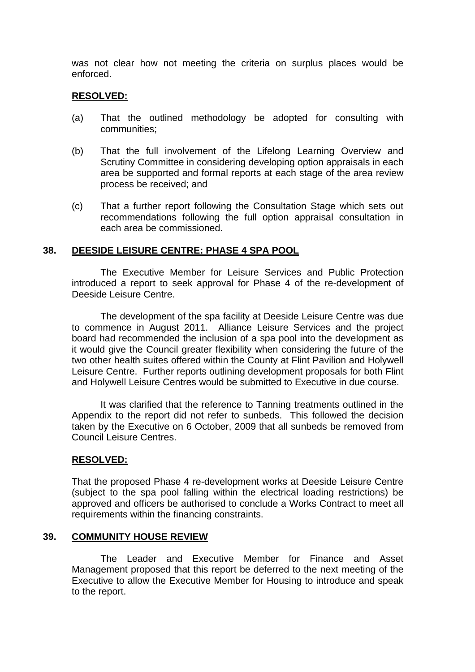was not clear how not meeting the criteria on surplus places would be enforced.

### **RESOLVED:**

- (a) That the outlined methodology be adopted for consulting with communities;
- (b) That the full involvement of the Lifelong Learning Overview and Scrutiny Committee in considering developing option appraisals in each area be supported and formal reports at each stage of the area review process be received; and
- (c) That a further report following the Consultation Stage which sets out recommendations following the full option appraisal consultation in each area be commissioned.

## **38. DEESIDE LEISURE CENTRE: PHASE 4 SPA POOL**

 The Executive Member for Leisure Services and Public Protection introduced a report to seek approval for Phase 4 of the re-development of Deeside Leisure Centre.

 The development of the spa facility at Deeside Leisure Centre was due to commence in August 2011. Alliance Leisure Services and the project board had recommended the inclusion of a spa pool into the development as it would give the Council greater flexibility when considering the future of the two other health suites offered within the County at Flint Pavilion and Holywell Leisure Centre. Further reports outlining development proposals for both Flint and Holywell Leisure Centres would be submitted to Executive in due course.

It was clarified that the reference to Tanning treatments outlined in the Appendix to the report did not refer to sunbeds. This followed the decision taken by the Executive on 6 October, 2009 that all sunbeds be removed from Council Leisure Centres.

# **RESOLVED:**

That the proposed Phase 4 re-development works at Deeside Leisure Centre (subject to the spa pool falling within the electrical loading restrictions) be approved and officers be authorised to conclude a Works Contract to meet all requirements within the financing constraints.

### **39. COMMUNITY HOUSE REVIEW**

 The Leader and Executive Member for Finance and Asset Management proposed that this report be deferred to the next meeting of the Executive to allow the Executive Member for Housing to introduce and speak to the report.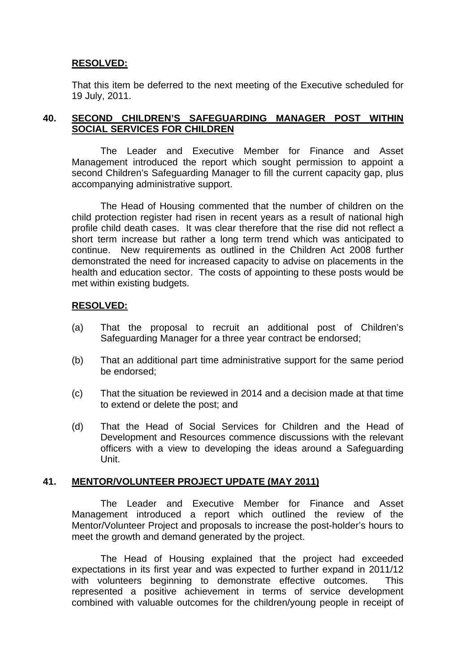# **RESOLVED:**

That this item be deferred to the next meeting of the Executive scheduled for 19 July, 2011.

# **40. SECOND CHILDREN'S SAFEGUARDING MANAGER POST WITHIN SOCIAL SERVICES FOR CHILDREN**

 The Leader and Executive Member for Finance and Asset Management introduced the report which sought permission to appoint a second Children's Safeguarding Manager to fill the current capacity gap, plus accompanying administrative support.

 The Head of Housing commented that the number of children on the child protection register had risen in recent years as a result of national high profile child death cases. It was clear therefore that the rise did not reflect a short term increase but rather a long term trend which was anticipated to continue. New requirements as outlined in the Children Act 2008 further demonstrated the need for increased capacity to advise on placements in the health and education sector. The costs of appointing to these posts would be met within existing budgets.

### **RESOLVED:**

- (a) That the proposal to recruit an additional post of Children's Safeguarding Manager for a three year contract be endorsed;
- (b) That an additional part time administrative support for the same period be endorsed;
- (c) That the situation be reviewed in 2014 and a decision made at that time to extend or delete the post; and
- (d) That the Head of Social Services for Children and the Head of Development and Resources commence discussions with the relevant officers with a view to developing the ideas around a Safeguarding Unit.

### **41. MENTOR/VOLUNTEER PROJECT UPDATE (MAY 2011)**

 The Leader and Executive Member for Finance and Asset Management introduced a report which outlined the review of the Mentor/Volunteer Project and proposals to increase the post-holder's hours to meet the growth and demand generated by the project.

 The Head of Housing explained that the project had exceeded expectations in its first year and was expected to further expand in 2011/12 with volunteers beginning to demonstrate effective outcomes. This represented a positive achievement in terms of service development combined with valuable outcomes for the children/young people in receipt of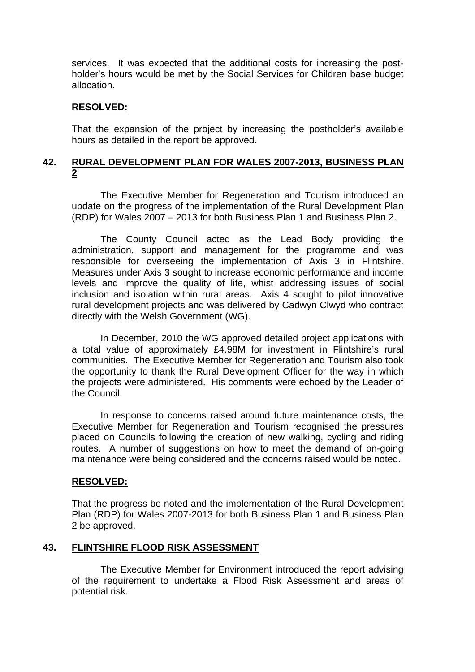services. It was expected that the additional costs for increasing the postholder's hours would be met by the Social Services for Children base budget allocation.

### **RESOLVED:**

That the expansion of the project by increasing the postholder's available hours as detailed in the report be approved.

# **42. RURAL DEVELOPMENT PLAN FOR WALES 2007-2013, BUSINESS PLAN 2**

 The Executive Member for Regeneration and Tourism introduced an update on the progress of the implementation of the Rural Development Plan (RDP) for Wales 2007 – 2013 for both Business Plan 1 and Business Plan 2.

 The County Council acted as the Lead Body providing the administration, support and management for the programme and was responsible for overseeing the implementation of Axis 3 in Flintshire. Measures under Axis 3 sought to increase economic performance and income levels and improve the quality of life, whist addressing issues of social inclusion and isolation within rural areas. Axis 4 sought to pilot innovative rural development projects and was delivered by Cadwyn Clwyd who contract directly with the Welsh Government (WG).

 In December, 2010 the WG approved detailed project applications with a total value of approximately £4.98M for investment in Flintshire's rural communities. The Executive Member for Regeneration and Tourism also took the opportunity to thank the Rural Development Officer for the way in which the projects were administered. His comments were echoed by the Leader of the Council.

 In response to concerns raised around future maintenance costs, the Executive Member for Regeneration and Tourism recognised the pressures placed on Councils following the creation of new walking, cycling and riding routes. A number of suggestions on how to meet the demand of on-going maintenance were being considered and the concerns raised would be noted.

### **RESOLVED:**

That the progress be noted and the implementation of the Rural Development Plan (RDP) for Wales 2007-2013 for both Business Plan 1 and Business Plan 2 be approved.

# **43. FLINTSHIRE FLOOD RISK ASSESSMENT**

 The Executive Member for Environment introduced the report advising of the requirement to undertake a Flood Risk Assessment and areas of potential risk.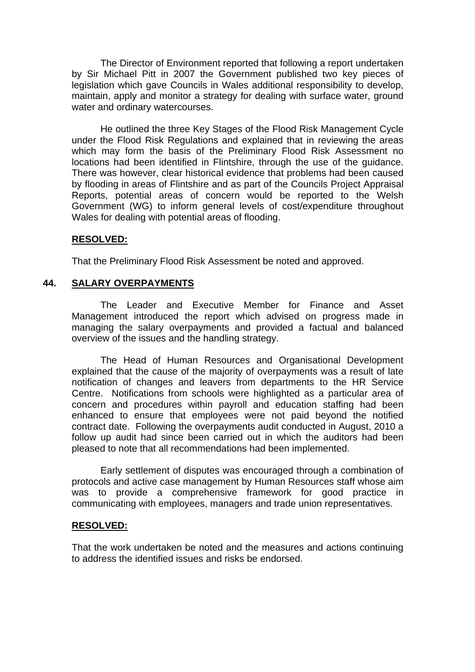The Director of Environment reported that following a report undertaken by Sir Michael Pitt in 2007 the Government published two key pieces of legislation which gave Councils in Wales additional responsibility to develop, maintain, apply and monitor a strategy for dealing with surface water, ground water and ordinary watercourses.

He outlined the three Key Stages of the Flood Risk Management Cycle under the Flood Risk Regulations and explained that in reviewing the areas which may form the basis of the Preliminary Flood Risk Assessment no locations had been identified in Flintshire, through the use of the guidance. There was however, clear historical evidence that problems had been caused by flooding in areas of Flintshire and as part of the Councils Project Appraisal Reports, potential areas of concern would be reported to the Welsh Government (WG) to inform general levels of cost/expenditure throughout Wales for dealing with potential areas of flooding.

### **RESOLVED:**

That the Preliminary Flood Risk Assessment be noted and approved.

# **44. SALARY OVERPAYMENTS**

 The Leader and Executive Member for Finance and Asset Management introduced the report which advised on progress made in managing the salary overpayments and provided a factual and balanced overview of the issues and the handling strategy.

 The Head of Human Resources and Organisational Development explained that the cause of the majority of overpayments was a result of late notification of changes and leavers from departments to the HR Service Centre. Notifications from schools were highlighted as a particular area of concern and procedures within payroll and education staffing had been enhanced to ensure that employees were not paid beyond the notified contract date. Following the overpayments audit conducted in August, 2010 a follow up audit had since been carried out in which the auditors had been pleased to note that all recommendations had been implemented.

 Early settlement of disputes was encouraged through a combination of protocols and active case management by Human Resources staff whose aim was to provide a comprehensive framework for good practice in communicating with employees, managers and trade union representatives.

### **RESOLVED:**

That the work undertaken be noted and the measures and actions continuing to address the identified issues and risks be endorsed.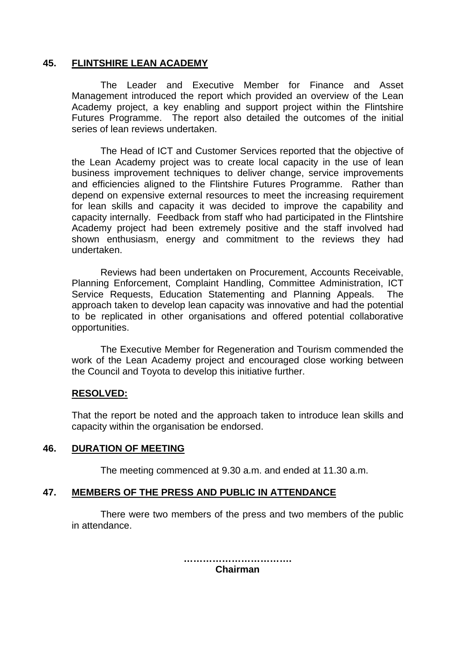## **45. FLINTSHIRE LEAN ACADEMY**

 The Leader and Executive Member for Finance and Asset Management introduced the report which provided an overview of the Lean Academy project, a key enabling and support project within the Flintshire Futures Programme. The report also detailed the outcomes of the initial series of lean reviews undertaken.

The Head of ICT and Customer Services reported that the objective of the Lean Academy project was to create local capacity in the use of lean business improvement techniques to deliver change, service improvements and efficiencies aligned to the Flintshire Futures Programme. Rather than depend on expensive external resources to meet the increasing requirement for lean skills and capacity it was decided to improve the capability and capacity internally. Feedback from staff who had participated in the Flintshire Academy project had been extremely positive and the staff involved had shown enthusiasm, energy and commitment to the reviews they had undertaken.

Reviews had been undertaken on Procurement, Accounts Receivable, Planning Enforcement, Complaint Handling, Committee Administration, ICT Service Requests, Education Statementing and Planning Appeals. The approach taken to develop lean capacity was innovative and had the potential to be replicated in other organisations and offered potential collaborative opportunities.

The Executive Member for Regeneration and Tourism commended the work of the Lean Academy project and encouraged close working between the Council and Toyota to develop this initiative further.

### **RESOLVED:**

That the report be noted and the approach taken to introduce lean skills and capacity within the organisation be endorsed.

#### **46. DURATION OF MEETING**

The meeting commenced at 9.30 a.m. and ended at 11.30 a.m.

### **47. MEMBERS OF THE PRESS AND PUBLIC IN ATTENDANCE**

There were two members of the press and two members of the public in attendance.

> **……………………………. Chairman**